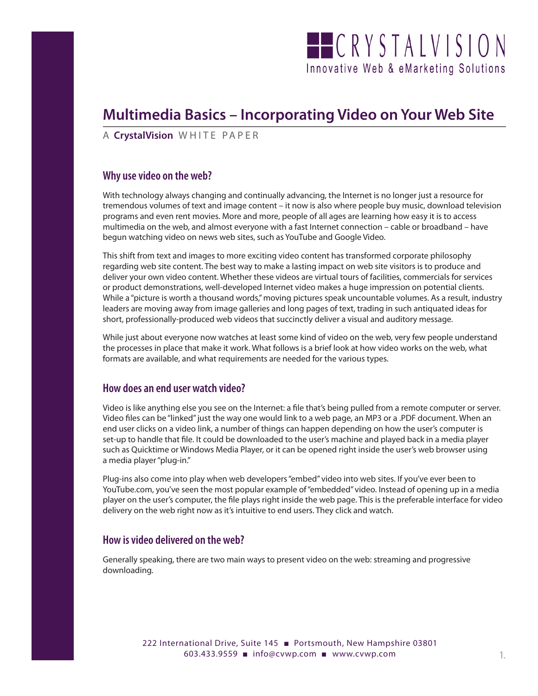

# **Multimedia Basics – Incorporating Video on Your Web Site**

A **CrystalVision** WHITE PAPER

## **Why use video on the web?**

With technology always changing and continually advancing, the Internet is no longer just a resource for tremendous volumes of text and image content – it now is also where people buy music, download television programs and even rent movies. More and more, people of all ages are learning how easy it is to access multimedia on the web, and almost everyone with a fast Internet connection – cable or broadband – have begun watching video on news web sites, such as YouTube and Google Video.

This shift from text and images to more exciting video content has transformed corporate philosophy regarding web site content. The best way to make a lasting impact on web site visitors is to produce and deliver your own video content. Whether these videos are virtual tours of facilities, commercials for services or product demonstrations, well-developed Internet video makes a huge impression on potential clients. While a "picture is worth a thousand words," moving pictures speak uncountable volumes. As a result, industry leaders are moving away from image galleries and long pages of text, trading in such antiquated ideas for short, professionally-produced web videos that succinctly deliver a visual and auditory message.

While just about everyone now watches at least some kind of video on the web, very few people understand the processes in place that make it work. What follows is a brief look at how video works on the web, what formats are available, and what requirements are needed for the various types.

### **How does an end user watch video?**

Video is like anything else you see on the Internet: a file that's being pulled from a remote computer or server. Video files can be "linked" just the way one would link to a web page, an MP3 or a .PDF document. When an end user clicks on a video link, a number of things can happen depending on how the user's computer is set-up to handle that file. It could be downloaded to the user's machine and played back in a media player such as Quicktime or Windows Media Player, or it can be opened right inside the user's web browser using a media player "plug-in."

Plug-ins also come into play when web developers "embed" video into web sites. If you've ever been to YouTube.com, you've seen the most popular example of "embedded" video. Instead of opening up in a media player on the user's computer, the file plays right inside the web page. This is the preferable interface for video delivery on the web right now as it's intuitive to end users. They click and watch.

### **How is video delivered on the web?**

Generally speaking, there are two main ways to present video on the web: streaming and progressive downloading.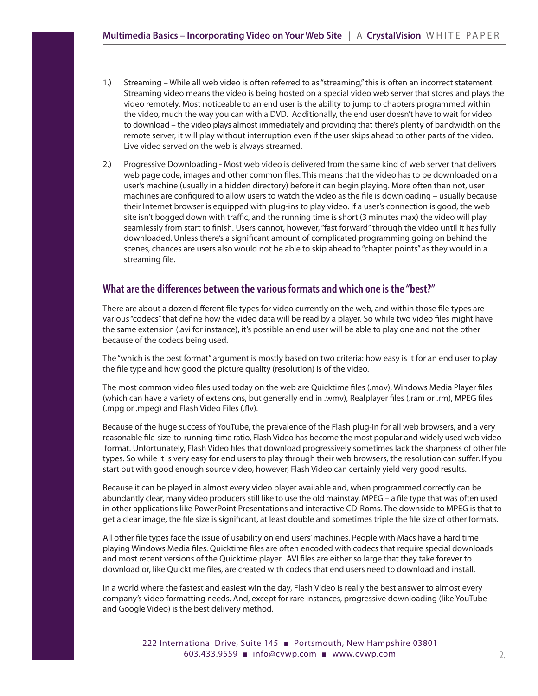- 1.) Streaming While all web video is often referred to as "streaming," this is often an incorrect statement. Streaming video means the video is being hosted on a special video web server that stores and plays the video remotely. Most noticeable to an end user is the ability to jump to chapters programmed within the video, much the way you can with a DVD. Additionally, the end user doesn't have to wait for video to download – the video plays almost immediately and providing that there's plenty of bandwidth on the remote server, it will play without interruption even if the user skips ahead to other parts of the video. Live video served on the web is always streamed.
- 2.) Progressive Downloading Most web video is delivered from the same kind of web server that delivers web page code, images and other common files. This means that the video has to be downloaded on a user's machine (usually in a hidden directory) before it can begin playing. More often than not, user machines are configured to allow users to watch the video as the file is downloading – usually because their Internet browser is equipped with plug-ins to play video. If a user's connection is good, the web site isn't bogged down with traffic, and the running time is short (3 minutes max) the video will play seamlessly from start to finish. Users cannot, however, "fast forward" through the video until it has fully downloaded. Unless there's a significant amount of complicated programming going on behind the scenes, chances are users also would not be able to skip ahead to "chapter points" as they would in a streaming file.

## **What are the differences between the various formats and which one is the "best?"**

There are about a dozen different file types for video currently on the web, and within those file types are various "codecs" that define how the video data will be read by a player. So while two video files might have the same extension (.avi for instance), it's possible an end user will be able to play one and not the other because of the codecs being used.

The "which is the best format" argument is mostly based on two criteria: how easy is it for an end user to play the file type and how good the picture quality (resolution) is of the video.

The most common video files used today on the web are Quicktime files (.mov), Windows Media Player files (which can have a variety of extensions, but generally end in .wmv), Realplayer files (.ram or .rm), MPEG files (.mpg or .mpeg) and Flash Video Files (.flv).

Because of the huge success of YouTube, the prevalence of the Flash plug-in for all web browsers, and a very reasonable file-size-to-running-time ratio, Flash Video has become the most popular and widely used web video format. Unfortunately, Flash Video files that download progressively sometimes lack the sharpness of other file types. So while it is very easy for end users to play through their web browsers, the resolution can suffer. If you start out with good enough source video, however, Flash Video can certainly yield very good results.

Because it can be played in almost every video player available and, when programmed correctly can be abundantly clear, many video producers still like to use the old mainstay, MPEG – a file type that was often used in other applications like PowerPoint Presentations and interactive CD-Roms. The downside to MPEG is that to get a clear image, the file size is significant, at least double and sometimes triple the file size of other formats.

All other file types face the issue of usability on end users' machines. People with Macs have a hard time playing Windows Media files. Quicktime files are often encoded with codecs that require special downloads and most recent versions of the Quicktime player. .AVI files are either so large that they take forever to download or, like Quicktime files, are created with codecs that end users need to download and install.

In a world where the fastest and easiest win the day, Flash Video is really the best answer to almost every company's video formatting needs. And, except for rare instances, progressive downloading (like YouTube and Google Video) is the best delivery method.